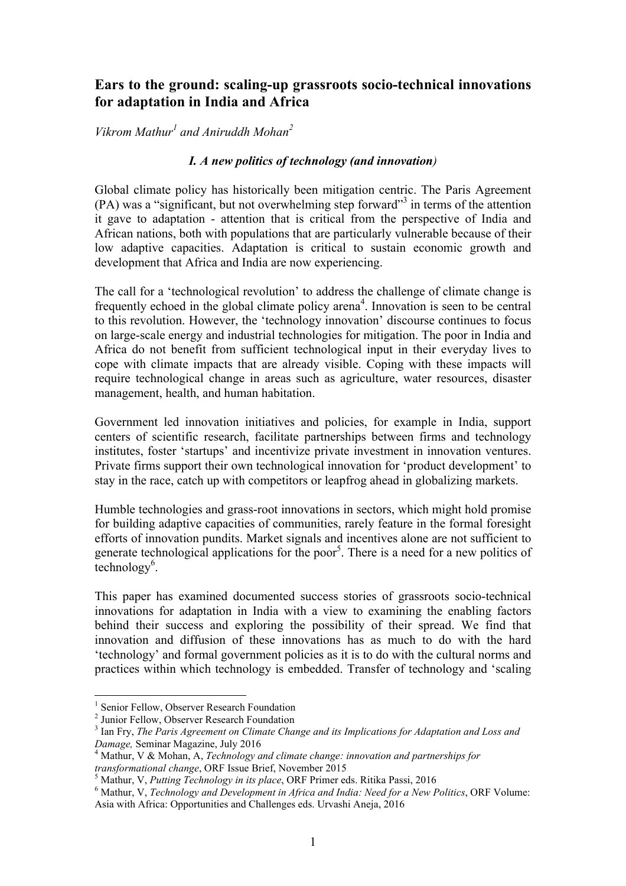# **Ears to the ground: scaling-up grassroots socio-technical innovations for adaptation in India and Africa**

*Vikrom Mathur<sup>1</sup> and Aniruddh Mohan<sup>2</sup>*

### *I. A new politics of technology (and innovation)*

Global climate policy has historically been mitigation centric. The Paris Agreement (PA) was a "significant, but not overwhelming step forward"<sup>3</sup> in terms of the attention it gave to adaptation - attention that is critical from the perspective of India and African nations, both with populations that are particularly vulnerable because of their low adaptive capacities. Adaptation is critical to sustain economic growth and development that Africa and India are now experiencing.

The call for a 'technological revolution' to address the challenge of climate change is frequently echoed in the global climate policy arena<sup>4</sup>. Innovation is seen to be central to this revolution. However, the 'technology innovation' discourse continues to focus on large-scale energy and industrial technologies for mitigation. The poor in India and Africa do not benefit from sufficient technological input in their everyday lives to cope with climate impacts that are already visible. Coping with these impacts will require technological change in areas such as agriculture, water resources, disaster management, health, and human habitation.

Government led innovation initiatives and policies, for example in India, support centers of scientific research, facilitate partnerships between firms and technology institutes, foster 'startups' and incentivize private investment in innovation ventures. Private firms support their own technological innovation for 'product development' to stay in the race, catch up with competitors or leapfrog ahead in globalizing markets.

Humble technologies and grass-root innovations in sectors, which might hold promise for building adaptive capacities of communities, rarely feature in the formal foresight efforts of innovation pundits. Market signals and incentives alone are not sufficient to generate technological applications for the poor<sup>5</sup>. There is a need for a new politics of  $\text{technology}^6$ .

This paper has examined documented success stories of grassroots socio-technical innovations for adaptation in India with a view to examining the enabling factors behind their success and exploring the possibility of their spread. We find that innovation and diffusion of these innovations has as much to do with the hard 'technology' and formal government policies as it is to do with the cultural norms and practices within which technology is embedded. Transfer of technology and 'scaling

 $\frac{1}{1}$ <sup>1</sup> Senior Fellow, Observer Research Foundation

<sup>2</sup> Junior Fellow, Observer Research Foundation

<sup>&</sup>lt;sup>3</sup> Ian Fry, *The Paris Agreement on Climate Change and its Implications for Adaptation and Loss and Damage,* Seminar Magazine, July 2016 <sup>4</sup>

Mathur, V & Mohan, A, *Technology and climate change: innovation and partnerships for transformational change*, ORF Issue Brief, November 2015<br><sup>5</sup> Mothur, N. *Butting Technology in its place*, ORE Primer o

<sup>&</sup>lt;sup>5</sup> Mathur, V, *Putting Technology in its place*, ORF Primer eds. Ritika Passi, 2016<br><sup>6</sup> Mathur, V, *Technology and Davelopment in Africa and India: Need fou a Navyl* 

Mathur, V, *Technology and Development in Africa and India: Need for a New Politics*, ORF Volume: Asia with Africa: Opportunities and Challenges eds. Urvashi Aneja, 2016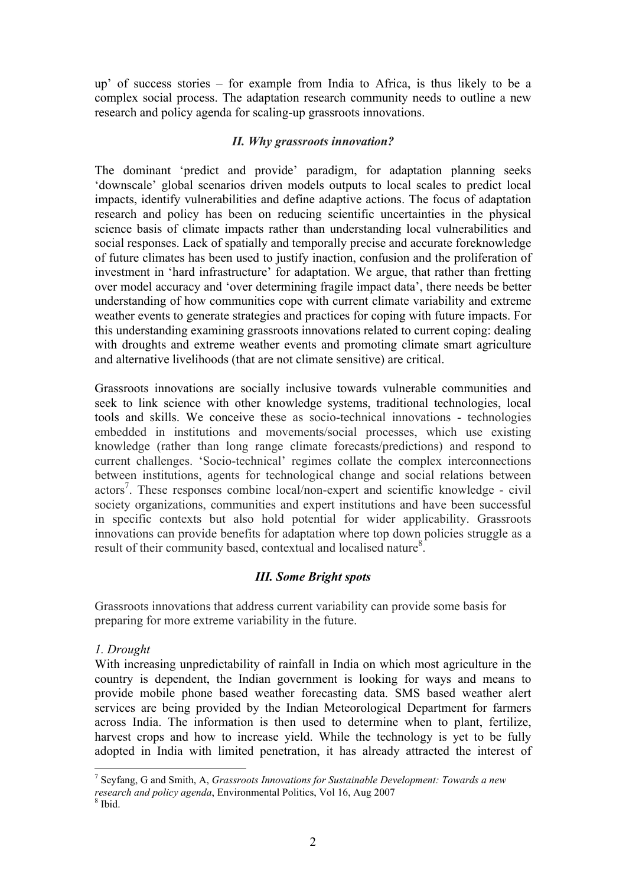up' of success stories – for example from India to Africa, is thus likely to be a complex social process. The adaptation research community needs to outline a new research and policy agenda for scaling-up grassroots innovations.

### *II. Why grassroots innovation?*

The dominant 'predict and provide' paradigm, for adaptation planning seeks 'downscale' global scenarios driven models outputs to local scales to predict local impacts, identify vulnerabilities and define adaptive actions. The focus of adaptation research and policy has been on reducing scientific uncertainties in the physical science basis of climate impacts rather than understanding local vulnerabilities and social responses. Lack of spatially and temporally precise and accurate foreknowledge of future climates has been used to justify inaction, confusion and the proliferation of investment in 'hard infrastructure' for adaptation. We argue, that rather than fretting over model accuracy and 'over determining fragile impact data', there needs be better understanding of how communities cope with current climate variability and extreme weather events to generate strategies and practices for coping with future impacts. For this understanding examining grassroots innovations related to current coping: dealing with droughts and extreme weather events and promoting climate smart agriculture and alternative livelihoods (that are not climate sensitive) are critical.

Grassroots innovations are socially inclusive towards vulnerable communities and seek to link science with other knowledge systems, traditional technologies, local tools and skills. We conceive these as socio-technical innovations - technologies embedded in institutions and movements/social processes, which use existing knowledge (rather than long range climate forecasts/predictions) and respond to current challenges. 'Socio-technical' regimes collate the complex interconnections between institutions, agents for technological change and social relations between actors<sup>7</sup>. These responses combine local/non-expert and scientific knowledge - civil society organizations, communities and expert institutions and have been successful in specific contexts but also hold potential for wider applicability. Grassroots innovations can provide benefits for adaptation where top down policies struggle as a result of their community based, contextual and localised nature<sup>8</sup>.

# *III. Some Bright spots*

Grassroots innovations that address current variability can provide some basis for preparing for more extreme variability in the future.

### *1. Drought*

With increasing unpredictability of rainfall in India on which most agriculture in the country is dependent, the Indian government is looking for ways and means to provide mobile phone based weather forecasting data. SMS based weather alert services are being provided by the Indian Meteorological Department for farmers across India. The information is then used to determine when to plant, fertilize, harvest crops and how to increase yield. While the technology is yet to be fully adopted in India with limited penetration, it has already attracted the interest of

<sup>-&</sup>lt;br>7 Seyfang, G and Smith, A, *Grassroots Innovations for Sustainable Development: Towards a new research and policy agenda*, Environmental Politics, Vol 16, Aug 2007

 $8$  Ibid.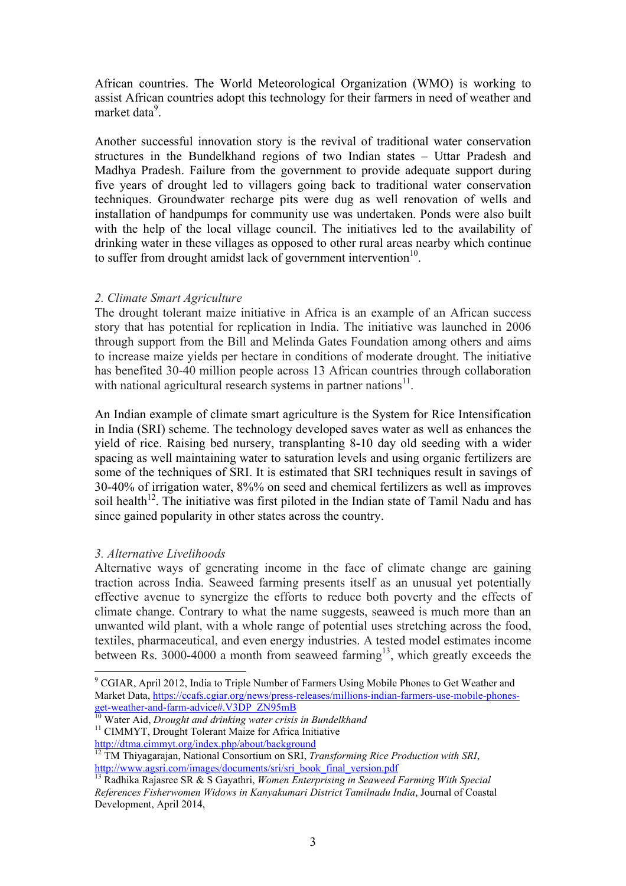African countries. The World Meteorological Organization (WMO) is working to assist African countries adopt this technology for their farmers in need of weather and market data<sup>9</sup>.

Another successful innovation story is the revival of traditional water conservation structures in the Bundelkhand regions of two Indian states – Uttar Pradesh and Madhya Pradesh. Failure from the government to provide adequate support during five years of drought led to villagers going back to traditional water conservation techniques. Groundwater recharge pits were dug as well renovation of wells and installation of handpumps for community use was undertaken. Ponds were also built with the help of the local village council. The initiatives led to the availability of drinking water in these villages as opposed to other rural areas nearby which continue to suffer from drought amidst lack of government intervention<sup>10</sup>.

### *2. Climate Smart Agriculture*

The drought tolerant maize initiative in Africa is an example of an African success story that has potential for replication in India. The initiative was launched in 2006 through support from the Bill and Melinda Gates Foundation among others and aims to increase maize yields per hectare in conditions of moderate drought. The initiative has benefited 30-40 million people across 13 African countries through collaboration with national agricultural research systems in partner nations<sup>11</sup>.

An Indian example of climate smart agriculture is the System for Rice Intensification in India (SRI) scheme. The technology developed saves water as well as enhances the yield of rice. Raising bed nursery, transplanting 8-10 day old seeding with a wider spacing as well maintaining water to saturation levels and using organic fertilizers are some of the techniques of SRI. It is estimated that SRI techniques result in savings of 30-40% of irrigation water, 8%% on seed and chemical fertilizers as well as improves soil health<sup>12</sup>. The initiative was first piloted in the Indian state of Tamil Nadu and has since gained popularity in other states across the country.

### *3. Alternative Livelihoods*

Alternative ways of generating income in the face of climate change are gaining traction across India. Seaweed farming presents itself as an unusual yet potentially effective avenue to synergize the efforts to reduce both poverty and the effects of climate change. Contrary to what the name suggests, seaweed is much more than an unwanted wild plant, with a whole range of potential uses stretching across the food, textiles, pharmaceutical, and even energy industries. A tested model estimates income between Rs. 3000-4000 a month from seaweed farming<sup>13</sup>, which greatly exceeds the

get-weather-and-farm-advice#.V3DP\_ZN95mB 10 Water Aid, *Drought and drinking water crisis in Bundelkhand* <sup>11</sup> CIMMYT, Drought Tolerant Maize for Africa Initiative http://dtma.cimmyt.org/index.php/about/background

<sup>&</sup>lt;sup>9</sup> CGIAR, April 2012, India to Triple Number of Farmers Using Mobile Phones to Get Weather and Market Data, https://ccafs.cgiar.org/news/press-releases/millions-indian-farmers-use-mobile-phones-

<sup>12</sup> TM Thiyagarajan, National Consortium on SRI, *Transforming Rice Production with SRI*, http://www.agsri.com/images/documents/sri/sri\_book\_final\_version.pdf <sup>13</sup> Radhika Rajasree SR & S Gayathri, *Women Enterprising in Seaweed Farming With Special* 

*References Fisherwomen Widows in Kanyakumari District Tamilnadu India*, Journal of Coastal Development, April 2014,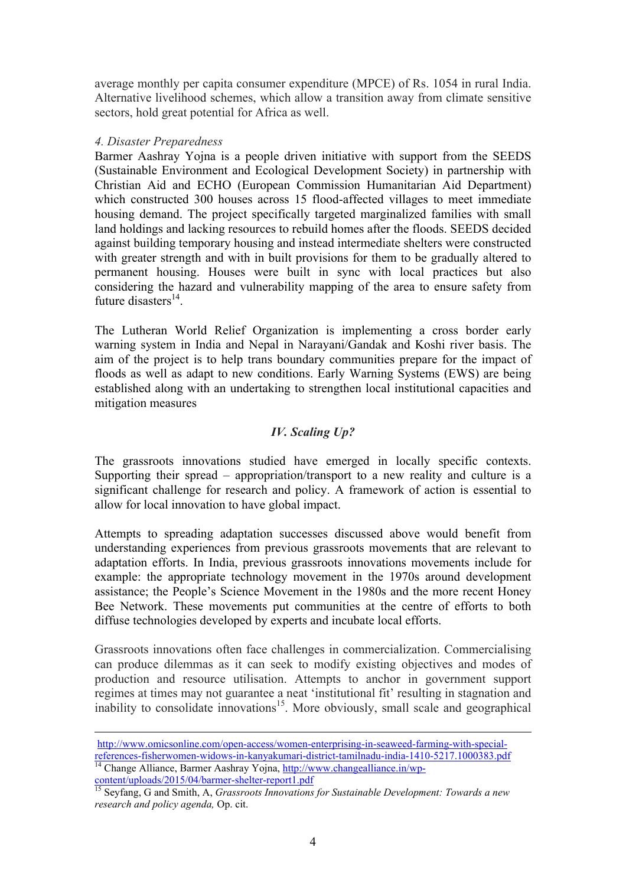average monthly per capita consumer expenditure (MPCE) of Rs. 1054 in rural India. Alternative livelihood schemes, which allow a transition away from climate sensitive sectors, hold great potential for Africa as well.

### *4. Disaster Preparedness*

Barmer Aashray Yojna is a people driven initiative with support from the SEEDS (Sustainable Environment and Ecological Development Society) in partnership with Christian Aid and ECHO (European Commission Humanitarian Aid Department) which constructed 300 houses across 15 flood-affected villages to meet immediate housing demand. The project specifically targeted marginalized families with small land holdings and lacking resources to rebuild homes after the floods. SEEDS decided against building temporary housing and instead intermediate shelters were constructed with greater strength and with in built provisions for them to be gradually altered to permanent housing. Houses were built in sync with local practices but also considering the hazard and vulnerability mapping of the area to ensure safety from future disasters $^{14}$ .

The Lutheran World Relief Organization is implementing a cross border early warning system in India and Nepal in Narayani/Gandak and Koshi river basis. The aim of the project is to help trans boundary communities prepare for the impact of floods as well as adapt to new conditions. Early Warning Systems (EWS) are being established along with an undertaking to strengthen local institutional capacities and mitigation measures

## *IV. Scaling Up?*

The grassroots innovations studied have emerged in locally specific contexts. Supporting their spread – appropriation/transport to a new reality and culture is a significant challenge for research and policy. A framework of action is essential to allow for local innovation to have global impact.

Attempts to spreading adaptation successes discussed above would benefit from understanding experiences from previous grassroots movements that are relevant to adaptation efforts. In India, previous grassroots innovations movements include for example: the appropriate technology movement in the 1970s around development assistance; the People's Science Movement in the 1980s and the more recent Honey Bee Network. These movements put communities at the centre of efforts to both diffuse technologies developed by experts and incubate local efforts.

Grassroots innovations often face challenges in commercialization. Commercialising can produce dilemmas as it can seek to modify existing objectives and modes of production and resource utilisation. Attempts to anchor in government support regimes at times may not guarantee a neat 'institutional fit' resulting in stagnation and inability to consolidate innovations<sup>15</sup>. More obviously, small scale and geographical

content/uploads/2015/04/barmer-shelter-report1.pdf <sup>15</sup> Seyfang, G and Smith, A, *Grassroots Innovations for Sustainable Development: Towards a new* 

http://www.omicsonline.com/open-access/women-enterprising-in-seaweed-farming-with-specialreferences-fisherwomen-widows-in-kanyakumari-district-tamilnadu-india-1410-5217.1000383.pdf 14 Change Alliance, Barmer Aashray Yojna, http://www.changealliance.in/wp-

*research and policy agenda,* Op. cit.